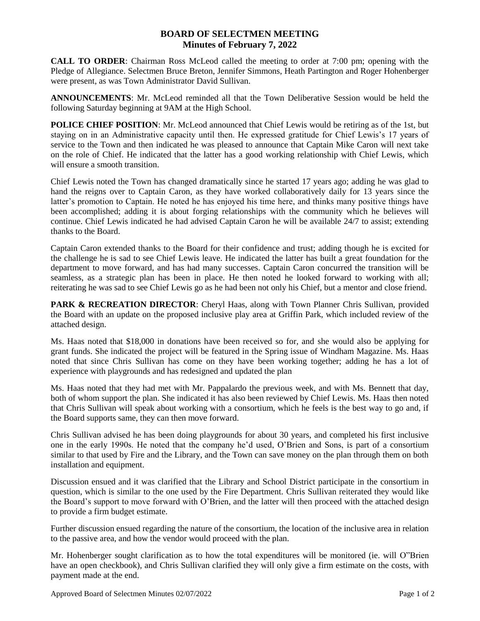## **BOARD OF SELECTMEN MEETING Minutes of February 7, 2022**

**CALL TO ORDER**: Chairman Ross McLeod called the meeting to order at 7:00 pm; opening with the Pledge of Allegiance. Selectmen Bruce Breton, Jennifer Simmons, Heath Partington and Roger Hohenberger were present, as was Town Administrator David Sullivan.

**ANNOUNCEMENTS**: Mr. McLeod reminded all that the Town Deliberative Session would be held the following Saturday beginning at 9AM at the High School.

**POLICE CHIEF POSITION**: Mr. McLeod announced that Chief Lewis would be retiring as of the 1st, but staying on in an Administrative capacity until then. He expressed gratitude for Chief Lewis's 17 years of service to the Town and then indicated he was pleased to announce that Captain Mike Caron will next take on the role of Chief. He indicated that the latter has a good working relationship with Chief Lewis, which will ensure a smooth transition.

Chief Lewis noted the Town has changed dramatically since he started 17 years ago; adding he was glad to hand the reigns over to Captain Caron, as they have worked collaboratively daily for 13 years since the latter's promotion to Captain. He noted he has enjoyed his time here, and thinks many positive things have been accomplished; adding it is about forging relationships with the community which he believes will continue. Chief Lewis indicated he had advised Captain Caron he will be available 24/7 to assist; extending thanks to the Board.

Captain Caron extended thanks to the Board for their confidence and trust; adding though he is excited for the challenge he is sad to see Chief Lewis leave. He indicated the latter has built a great foundation for the department to move forward, and has had many successes. Captain Caron concurred the transition will be seamless, as a strategic plan has been in place. He then noted he looked forward to working with all; reiterating he was sad to see Chief Lewis go as he had been not only his Chief, but a mentor and close friend.

**PARK & RECREATION DIRECTOR:** Cheryl Haas, along with Town Planner Chris Sullivan, provided the Board with an update on the proposed inclusive play area at Griffin Park, which included review of the attached design.

Ms. Haas noted that \$18,000 in donations have been received so for, and she would also be applying for grant funds. She indicated the project will be featured in the Spring issue of Windham Magazine. Ms. Haas noted that since Chris Sullivan has come on they have been working together; adding he has a lot of experience with playgrounds and has redesigned and updated the plan

Ms. Haas noted that they had met with Mr. Pappalardo the previous week, and with Ms. Bennett that day, both of whom support the plan. She indicated it has also been reviewed by Chief Lewis. Ms. Haas then noted that Chris Sullivan will speak about working with a consortium, which he feels is the best way to go and, if the Board supports same, they can then move forward.

Chris Sullivan advised he has been doing playgrounds for about 30 years, and completed his first inclusive one in the early 1990s. He noted that the company he'd used, O'Brien and Sons, is part of a consortium similar to that used by Fire and the Library, and the Town can save money on the plan through them on both installation and equipment.

Discussion ensued and it was clarified that the Library and School District participate in the consortium in question, which is similar to the one used by the Fire Department. Chris Sullivan reiterated they would like the Board's support to move forward with O'Brien, and the latter will then proceed with the attached design to provide a firm budget estimate.

Further discussion ensued regarding the nature of the consortium, the location of the inclusive area in relation to the passive area, and how the vendor would proceed with the plan.

Mr. Hohenberger sought clarification as to how the total expenditures will be monitored (ie. will O"Brien have an open checkbook), and Chris Sullivan clarified they will only give a firm estimate on the costs, with payment made at the end.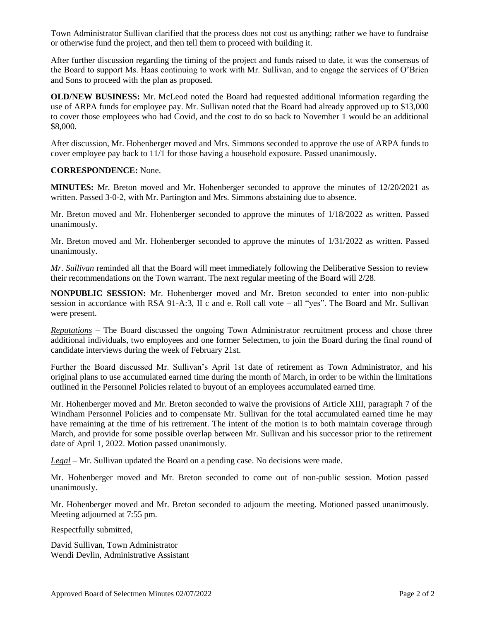Town Administrator Sullivan clarified that the process does not cost us anything; rather we have to fundraise or otherwise fund the project, and then tell them to proceed with building it.

After further discussion regarding the timing of the project and funds raised to date, it was the consensus of the Board to support Ms. Haas continuing to work with Mr. Sullivan, and to engage the services of O'Brien and Sons to proceed with the plan as proposed.

**OLD/NEW BUSINESS:** Mr. McLeod noted the Board had requested additional information regarding the use of ARPA funds for employee pay. Mr. Sullivan noted that the Board had already approved up to \$13,000 to cover those employees who had Covid, and the cost to do so back to November 1 would be an additional \$8,000.

After discussion, Mr. Hohenberger moved and Mrs. Simmons seconded to approve the use of ARPA funds to cover employee pay back to 11/1 for those having a household exposure. Passed unanimously.

## **CORRESPONDENCE:** None.

**MINUTES:** Mr. Breton moved and Mr. Hohenberger seconded to approve the minutes of 12/20/2021 as written. Passed 3-0-2, with Mr. Partington and Mrs. Simmons abstaining due to absence.

Mr. Breton moved and Mr. Hohenberger seconded to approve the minutes of 1/18/2022 as written. Passed unanimously.

Mr. Breton moved and Mr. Hohenberger seconded to approve the minutes of 1/31/2022 as written. Passed unanimously.

*Mr. Sullivan* reminded all that the Board will meet immediately following the Deliberative Session to review their recommendations on the Town warrant. The next regular meeting of the Board will 2/28.

**NONPUBLIC SESSION:** Mr. Hohenberger moved and Mr. Breton seconded to enter into non-public session in accordance with RSA 91-A:3, II c and e. Roll call vote – all "yes". The Board and Mr. Sullivan were present.

*Reputations* – The Board discussed the ongoing Town Administrator recruitment process and chose three additional individuals, two employees and one former Selectmen, to join the Board during the final round of candidate interviews during the week of February 21st.

Further the Board discussed Mr. Sullivan's April 1st date of retirement as Town Administrator, and his original plans to use accumulated earned time during the month of March, in order to be within the limitations outlined in the Personnel Policies related to buyout of an employees accumulated earned time.

Mr. Hohenberger moved and Mr. Breton seconded to waive the provisions of Article XIII, paragraph 7 of the Windham Personnel Policies and to compensate Mr. Sullivan for the total accumulated earned time he may have remaining at the time of his retirement. The intent of the motion is to both maintain coverage through March, and provide for some possible overlap between Mr. Sullivan and his successor prior to the retirement date of April 1, 2022. Motion passed unanimously.

*Legal* – Mr. Sullivan updated the Board on a pending case. No decisions were made.

Mr. Hohenberger moved and Mr. Breton seconded to come out of non-public session. Motion passed unanimously.

Mr. Hohenberger moved and Mr. Breton seconded to adjourn the meeting. Motioned passed unanimously. Meeting adjourned at 7:55 pm.

Respectfully submitted,

David Sullivan, Town Administrator Wendi Devlin, Administrative Assistant